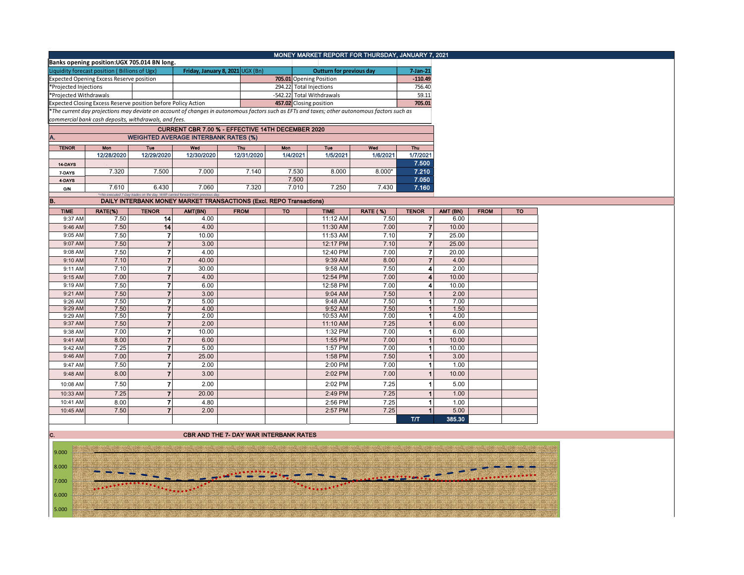|                        |                                                                                                                                                                                                        |                         |                                                                              |                                                                     |          | MONEY MARKET REPORT FOR THURSDAY, JANUARY 7, 2021 |                 |                      |          |             |           |
|------------------------|--------------------------------------------------------------------------------------------------------------------------------------------------------------------------------------------------------|-------------------------|------------------------------------------------------------------------------|---------------------------------------------------------------------|----------|---------------------------------------------------|-----------------|----------------------|----------|-------------|-----------|
|                        | Banks opening position: UGX 705.014 BN long.                                                                                                                                                           |                         |                                                                              |                                                                     |          |                                                   |                 |                      |          |             |           |
|                        | Liquidity forecast position (Billions of Ugx)                                                                                                                                                          |                         |                                                                              | Friday, January 8, 2021 UGX (Bn)                                    |          | <b>Outturn for previous day</b>                   |                 | 7-Jan-21             |          |             |           |
|                        | <b>Expected Opening Excess Reserve position</b>                                                                                                                                                        |                         |                                                                              |                                                                     |          | 705.01 Opening Position                           |                 | $-110.49$            |          |             |           |
| *Projected Injections  |                                                                                                                                                                                                        |                         |                                                                              |                                                                     |          | 294.22 Total Injections                           |                 | 756.40               |          |             |           |
| *Projected Withdrawals |                                                                                                                                                                                                        |                         |                                                                              |                                                                     |          | -542.22 Total Withdrawals                         |                 | 59.11                |          |             |           |
|                        | Expected Closing Excess Reserve position before Policy Action                                                                                                                                          |                         |                                                                              |                                                                     |          | 457.02 Closing position                           |                 | 705.01               |          |             |           |
|                        |                                                                                                                                                                                                        |                         |                                                                              |                                                                     |          |                                                   |                 |                      |          |             |           |
|                        | *The current day projections may deviate on account of changes in autonomous factors such as EFTs and taxes; other autonomous factors such as<br>commercial bank cash deposits, withdrawals, and fees. |                         |                                                                              |                                                                     |          |                                                   |                 |                      |          |             |           |
|                        |                                                                                                                                                                                                        |                         |                                                                              | CURRENT CBR 7.00 % - EFFECTIVE 14TH DECEMBER 2020                   |          |                                                   |                 |                      |          |             |           |
|                        |                                                                                                                                                                                                        |                         |                                                                              |                                                                     |          |                                                   |                 |                      |          |             |           |
| Α.                     |                                                                                                                                                                                                        |                         | <b>WEIGHTED AVERAGE INTERBANK RATES (%)</b>                                  |                                                                     |          |                                                   |                 |                      |          |             |           |
| <b>TENOR</b>           | Mon                                                                                                                                                                                                    | Tue                     | Wed                                                                          | Thu                                                                 | Mon      | <b>Tue</b>                                        | Wed             | Thu                  |          |             |           |
|                        | 12/28/2020                                                                                                                                                                                             | 12/29/2020              | 12/30/2020                                                                   | 12/31/2020                                                          | 1/4/2021 | 1/5/2021                                          | 1/6/2021        | 1/7/2021             |          |             |           |
| 14-DAYS                |                                                                                                                                                                                                        |                         |                                                                              |                                                                     |          |                                                   |                 | 7.500                |          |             |           |
| 7-DAYS                 | 7.320                                                                                                                                                                                                  | 7.500                   | 7.000                                                                        | 7.140                                                               | 7.530    | 8.000                                             | $8.000*$        | 7.210                |          |             |           |
| 4-DAYS                 |                                                                                                                                                                                                        |                         |                                                                              |                                                                     | 7.500    |                                                   |                 | 7.050                |          |             |           |
| <b>O/N</b>             | 7.610                                                                                                                                                                                                  | 6.430                   | 7.060                                                                        | 7.320                                                               | 7.010    | 7.250                                             | 7.430           | 7.160                |          |             |           |
|                        |                                                                                                                                                                                                        |                         | *=No executed 7-Day trades on the day. WAR carried forward from previous day |                                                                     |          |                                                   |                 |                      |          |             |           |
| B.                     |                                                                                                                                                                                                        |                         |                                                                              | DAILY INTERBANK MONEY MARKET TRANSACTIONS (Excl. REPO Transactions) |          |                                                   |                 |                      |          |             |           |
| <b>TIME</b>            | RATE(%)                                                                                                                                                                                                | <b>TENOR</b>            | AMT(BN)                                                                      | <b>FROM</b>                                                         | TO       | <b>TIME</b>                                       | <b>RATE (%)</b> | <b>TENOR</b>         | AMT (BN) | <b>FROM</b> | <b>TO</b> |
| 9:37 AM                | 7.50                                                                                                                                                                                                   | 14                      | 4.00                                                                         |                                                                     |          | 11:12 AM                                          | 7.50            | $\overline{ }$       | 6.00     |             |           |
| 9:46 AM                | 7.50                                                                                                                                                                                                   | 14                      | 4.00                                                                         |                                                                     |          | 11:30 AM                                          | 7.00            | $\overline{7}$       | 10.00    |             |           |
| 9:05 AM                | 7.50                                                                                                                                                                                                   | 7                       | 10.00                                                                        |                                                                     |          | 11:53 AM                                          | 7.10            | 7                    | 25.00    |             |           |
| 9:07 AM                | 7.50                                                                                                                                                                                                   | $\overline{7}$          | 3.00                                                                         |                                                                     |          | 12:17 PM                                          | 7.10            | $\overline{7}$       | 25.00    |             |           |
| 9:08 AM                | 7.50                                                                                                                                                                                                   | $\overline{7}$          | 4.00                                                                         |                                                                     |          | 12:40 PM                                          | 7.00            | $\overline{7}$       | 20.00    |             |           |
| 9:10 AM                | 7.10                                                                                                                                                                                                   | $\overline{7}$          | 40.00                                                                        |                                                                     |          | 9:39 AM                                           | 8.00            | $\overline{7}$       | 4.00     |             |           |
| 9:11 AM                | 7.10                                                                                                                                                                                                   | $\overline{7}$          | 30.00                                                                        |                                                                     |          | 9:58 AM                                           | 7.50            | 4                    | 2.00     |             |           |
| 9:15 AM                | 7.00                                                                                                                                                                                                   | $\overline{7}$          | 4.00                                                                         |                                                                     |          | 12:54 PM                                          | 7.00            | 4                    | 10.00    |             |           |
| 9:19 AM                | 7.50                                                                                                                                                                                                   | $\overline{7}$          | 6.00                                                                         |                                                                     |          | 12:58 PM                                          | 7.00            | 4                    | 10.00    |             |           |
| 9:21 AM                | 7.50                                                                                                                                                                                                   | $\overline{\mathbf{r}}$ | 3.00                                                                         |                                                                     |          | 9:04 AM                                           | 7.50            | 1 <sup>1</sup>       | 2.00     |             |           |
| 9:26 AM                | 7.50                                                                                                                                                                                                   | 7                       | 5.00                                                                         |                                                                     |          | 9:48 AM                                           | 7.50            | $\mathbf{1}$         | 7.00     |             |           |
| 9:29 AM                | 7.50                                                                                                                                                                                                   | $\overline{7}$          | 4.00                                                                         |                                                                     |          | 9:52 AM                                           | 7.50            | 1 <sup>1</sup>       | 1.50     |             |           |
| 9:29 AM                | 7.50                                                                                                                                                                                                   | 7                       | 2.00                                                                         |                                                                     |          | 10:53 AM                                          | 7.00            | $\blacktriangleleft$ | 4.00     |             |           |
| 9:37 AM                | 7.50                                                                                                                                                                                                   | $\overline{7}$          | 2.00                                                                         |                                                                     |          | 11:10 AM                                          | 7.25            | 1 <sup>1</sup>       | 6.00     |             |           |
| 9:38 AM                | 7.00                                                                                                                                                                                                   | 7                       | 10.00                                                                        |                                                                     |          | 1:32 PM                                           | 7.00            | $\vert$              | 6.00     |             |           |
| 9:41 AM                | 8.00                                                                                                                                                                                                   | $\overline{7}$          | 6.00                                                                         |                                                                     |          | 1:55 PM                                           | 7.00            | 1                    | 10.00    |             |           |
| 9:42 AM                | 7.25                                                                                                                                                                                                   | $\overline{\mathbf{7}}$ | 5.00                                                                         |                                                                     |          | 1:57 PM                                           | 7.00            | $\mathbf{1}$         | 10.00    |             |           |
| 9:46 AM                | 7.00                                                                                                                                                                                                   | $\overline{7}$          | 25.00                                                                        |                                                                     |          | 1:58 PM                                           | 7.50            | $\mathbf{1}$         | 3.00     |             |           |
| 9:47 AM                | 7.50                                                                                                                                                                                                   | 7                       | 2.00                                                                         |                                                                     |          | 2:00 PM                                           | 7.00            | $\mathbf{1}$         | 1.00     |             |           |
|                        |                                                                                                                                                                                                        | $\overline{7}$          |                                                                              |                                                                     |          |                                                   |                 |                      |          |             |           |
| 9:48 AM                | 8.00                                                                                                                                                                                                   |                         | 3.00                                                                         |                                                                     |          | 2:02 PM                                           | 7.00            | $\mathbf{1}$         | 10.00    |             |           |
| 10:08 AM               | 7.50                                                                                                                                                                                                   | 7                       | 2.00                                                                         |                                                                     |          | 2:02 PM                                           | 7.25            | 1                    | 5.00     |             |           |
| 10:33 AM               | 7.25                                                                                                                                                                                                   | $\overline{7}$          | 20.00                                                                        |                                                                     |          | 2:49 PM                                           | 7.25            | $\blacktriangleleft$ | 1.00     |             |           |
| 10:41 AM               | 8.00                                                                                                                                                                                                   | $\overline{7}$          | 4.80                                                                         |                                                                     |          | 2:56 PM                                           | 7.25            | $\blacktriangleleft$ | 1.00     |             |           |
| 10:45 AM               | 7.50                                                                                                                                                                                                   | $\overline{7}$          | 2.00                                                                         |                                                                     |          | 2:57 PM                                           | 7.25            | $\mathbf{1}$         | 5.00     |             |           |
|                        |                                                                                                                                                                                                        |                         |                                                                              |                                                                     |          |                                                   |                 | <b>T/T</b>           | 385,30   |             |           |
|                        |                                                                                                                                                                                                        |                         |                                                                              |                                                                     |          |                                                   |                 |                      |          |             |           |
|                        |                                                                                                                                                                                                        |                         |                                                                              |                                                                     |          |                                                   |                 |                      |          |             |           |

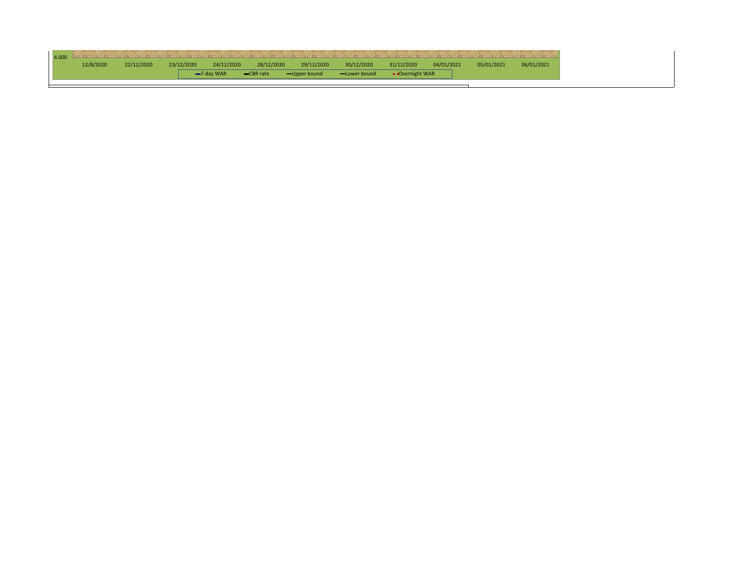|           |            |            |               |            | <u>in the second and the second and the second and the second and the second and the second and the second and the second and the second and the second and the second and the second and the second and the second and the seco</u><br><u> 1980 - Johann Stoff, Amerikaans en Stoff, Amerikaans en Stoff, Amerikaans en Stoff, Amerikaans en Stoff, Amerikaans en Stoff, Amerikaans en Stoff, Amerikaans en Stoff, Amerikaans en Stoff, Amerikaans en Stoff, Amerikaans</u> |              |                 |            |            |            |
|-----------|------------|------------|---------------|------------|------------------------------------------------------------------------------------------------------------------------------------------------------------------------------------------------------------------------------------------------------------------------------------------------------------------------------------------------------------------------------------------------------------------------------------------------------------------------------|--------------|-----------------|------------|------------|------------|
| 12/8/2020 | 22/12/2020 | 23/12/2020 | 24/12/2020    | 28/12/2020 | 29/12/2020                                                                                                                                                                                                                                                                                                                                                                                                                                                                   | 30/12/2020   | 31/12/2020      | 04/01/2021 | 05/01/2021 | 06/01/2021 |
|           |            |            | $-7$ -day WAR | -CBR rate  | -Upper bound                                                                                                                                                                                                                                                                                                                                                                                                                                                                 | -Lower bound | • Overnight WAR |            |            |            |
|           |            |            |               |            |                                                                                                                                                                                                                                                                                                                                                                                                                                                                              |              |                 |            |            |            |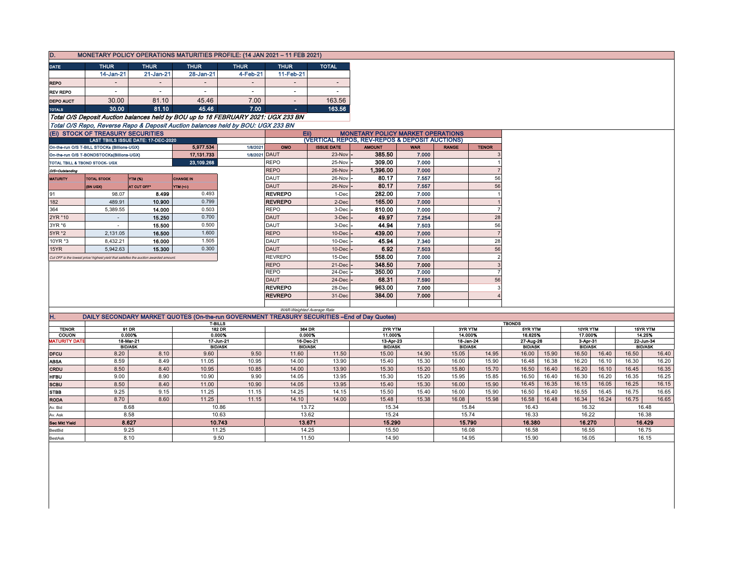| D.                   |                                                                                      |                                     |                          | MONETARY POLICY OPERATIONS MATURITIES PROFILE: (14 JAN 2021 - 11 FEB 2021)                     |                          |                                                |                                          |                     |              |                             |                             |       |                            |       |       |                             |
|----------------------|--------------------------------------------------------------------------------------|-------------------------------------|--------------------------|------------------------------------------------------------------------------------------------|--------------------------|------------------------------------------------|------------------------------------------|---------------------|--------------|-----------------------------|-----------------------------|-------|----------------------------|-------|-------|-----------------------------|
|                      |                                                                                      |                                     | <b>THUR</b>              |                                                                                                |                          | <b>TOTAL</b>                                   |                                          |                     |              |                             |                             |       |                            |       |       |                             |
| <b>DATE</b>          | <b>THUR</b><br>14-Jan-21                                                             | <b>THUR</b><br>21-Jan-21            | 28-Jan-21                | <b>THUR</b><br>4-Feb-21                                                                        | <b>THUR</b><br>11-Feb-21 |                                                |                                          |                     |              |                             |                             |       |                            |       |       |                             |
|                      |                                                                                      |                                     |                          |                                                                                                |                          | $\overline{\phantom{a}}$                       |                                          |                     |              |                             |                             |       |                            |       |       |                             |
| <b>REPO</b>          |                                                                                      |                                     |                          |                                                                                                |                          |                                                |                                          |                     |              |                             |                             |       |                            |       |       |                             |
| <b>REV REPO</b>      | $\sim$                                                                               | $\overline{\phantom{a}}$            | $\sim$                   | $\overline{\phantom{a}}$                                                                       | $\overline{\phantom{a}}$ | $\sim$                                         |                                          |                     |              |                             |                             |       |                            |       |       |                             |
| <b>DEPO AUCT</b>     | 30.00                                                                                | 81.10                               | 45.46                    | 7.00                                                                                           |                          | 163.56                                         |                                          |                     |              |                             |                             |       |                            |       |       |                             |
| <b>TOTALS</b>        | 30.00                                                                                | 81.10                               | 45.46                    | 7.00                                                                                           | $\blacksquare$           | 163.56                                         |                                          |                     |              |                             |                             |       |                            |       |       |                             |
|                      |                                                                                      |                                     |                          | Total O/S Deposit Auction balances held by BOU up to 18 FEBRUARY 2021: UGX 233 BN              |                          |                                                |                                          |                     |              |                             |                             |       |                            |       |       |                             |
|                      |                                                                                      |                                     |                          | Total O/S Repo, Reverse Repo & Deposit Auction balances held by BOU: UGX 233 BN                |                          |                                                |                                          |                     |              |                             |                             |       |                            |       |       |                             |
|                      | (Ei) STOCK OF TREASURY SECURITIES                                                    |                                     |                          |                                                                                                |                          | Eii)                                           | <b>MONETARY POLICY MARKET OPERATIONS</b> |                     |              |                             |                             |       |                            |       |       |                             |
|                      |                                                                                      | LAST TBIILS ISSUE DATE: 17-DEC-2020 |                          |                                                                                                |                          | (VERTICAL REPOS, REV-REPOS & DEPOSIT AUCTIONS) |                                          |                     |              |                             |                             |       |                            |       |       |                             |
|                      | On-the-run O/S T-BILL STOCKs (Billions-UGX)                                          |                                     | 5,977.534<br>17, 131.733 | 1/8/2021<br>1/8/2021 DAUT                                                                      | OMO                      | <b>ISSUE DATE</b><br>23-Nov                    | <b>AMOUNT</b><br>385.50                  | <b>WAR</b><br>7.000 | <b>RANGE</b> | <b>TENOR</b>                |                             |       |                            |       |       |                             |
|                      | On-the-run O/S T-BONDSTOCKs(Billions-UGX)<br>TOTAL TBILL & TBOND STOCK- UGX          |                                     | 23,109.268               |                                                                                                | <b>REPO</b>              | 25-Nov                                         | 309.00                                   | 7.000               |              |                             |                             |       |                            |       |       |                             |
|                      |                                                                                      |                                     |                          |                                                                                                | <b>REPO</b>              | 26-Nov                                         | 1,396.00                                 | 7.000               |              |                             |                             |       |                            |       |       |                             |
| O/S=Outstanding      | <b>TOTAL STOCK</b>                                                                   | <b>YTM (%)</b>                      | <b>CHANGE IN</b>         |                                                                                                | <b>DAUT</b>              | 26-Nov                                         | 80.17                                    | 7.557               |              | 56                          |                             |       |                            |       |       |                             |
| <b>MATURITY</b>      |                                                                                      | AT CUT OFF*                         |                          |                                                                                                | DAUT                     | 26-Nov                                         | 80.17                                    | 7.557               |              | 56                          |                             |       |                            |       |       |                             |
| 91                   | (BN UGX)<br>98.07                                                                    | 8.499                               | YTM (+/-)<br>0.493       |                                                                                                | <b>REVREPO</b>           | 1-Dec                                          | 282.00                                   | 7.000               |              |                             |                             |       |                            |       |       |                             |
| 182                  | 489.91                                                                               | 10.900                              | 0.799                    |                                                                                                | <b>REVREPO</b>           | 2-Dec                                          | 165.00                                   | 7.000               |              |                             |                             |       |                            |       |       |                             |
| 364                  | 5,389.55                                                                             | 14.000                              | 0.503                    |                                                                                                | <b>REPO</b>              | 3-Dec                                          | 810.00                                   | 7.000               |              | $\overline{7}$              |                             |       |                            |       |       |                             |
| 2YR *10              | $\overline{\phantom{a}}$                                                             | 15.250                              | 0.700                    |                                                                                                | <b>DAUT</b>              | 3-Dec                                          | 49.97                                    | 7.254               |              | 28                          |                             |       |                            |       |       |                             |
| 3YR *6               | $\overline{\phantom{a}}$                                                             | 15.500                              | 0.500                    |                                                                                                | DAUT                     | 3-Dec                                          | 44.94                                    | 7.503               |              | 56                          |                             |       |                            |       |       |                             |
| 5YR *2               | 2,131.05                                                                             | 16.500                              | 1.600                    |                                                                                                | <b>REPO</b>              | 10-Dec                                         | 439.00                                   | 7.000               |              | $\overline{7}$              |                             |       |                            |       |       |                             |
| 10YR *3              | 8,432.21                                                                             | 16.000                              | 1.505                    |                                                                                                | DAUT                     | 10-Dec                                         | 45.94                                    | 7.340               |              | 28                          |                             |       |                            |       |       |                             |
| 15YR                 | 5.942.63                                                                             | 15.300                              | 0.300                    |                                                                                                | <b>DAUT</b>              | 10-Dec                                         | 6.92                                     | 7.503               |              | 56                          |                             |       |                            |       |       |                             |
|                      | Cut OFF is the lowest price/ highest yield that satisfies the auction awarded amount |                                     |                          |                                                                                                | <b>REVREPO</b>           | 15-Dec                                         | 558.00                                   | 7.000               |              | $\overline{2}$              |                             |       |                            |       |       |                             |
|                      |                                                                                      |                                     |                          |                                                                                                | <b>REPO</b>              | 21-Dec                                         | 348.50                                   | 7.000               |              | 3                           |                             |       |                            |       |       |                             |
|                      |                                                                                      |                                     |                          |                                                                                                | <b>REPO</b>              | 24-Dec                                         | 350.00                                   | 7.000               |              |                             |                             |       |                            |       |       |                             |
|                      |                                                                                      |                                     |                          |                                                                                                | <b>DAUT</b>              | 24-Dec                                         | 68.31                                    | 7.590               |              | 56                          |                             |       |                            |       |       |                             |
|                      |                                                                                      |                                     |                          |                                                                                                | <b>REVREPO</b>           | 28-Dec                                         | 963.00                                   | 7.000               |              |                             |                             |       |                            |       |       |                             |
|                      |                                                                                      |                                     |                          |                                                                                                | <b>REVREPO</b>           | 31-Dec                                         | 384.00                                   | 7.000               |              |                             |                             |       |                            |       |       |                             |
|                      |                                                                                      |                                     |                          |                                                                                                |                          |                                                |                                          |                     |              |                             |                             |       |                            |       |       |                             |
|                      |                                                                                      |                                     |                          |                                                                                                |                          | WAR-Weighted Average Rate                      |                                          |                     |              |                             |                             |       |                            |       |       |                             |
| H.                   |                                                                                      |                                     |                          | DAILY SECONDARY MARKET QUOTES (On-the-run GOVERNMENT TREASURY SECURITIES -- End of Day Quotes) |                          |                                                |                                          |                     |              |                             |                             |       |                            |       |       |                             |
| <b>TENOR</b>         |                                                                                      | $91$ DR                             |                          | T-BILLS<br><b>182 DR</b>                                                                       |                          | 364 DR                                         | 2YR YTM                                  |                     |              | 3YR YTM                     | <b>TBONDS</b><br>5YR YTM    |       | 10YR YTM                   |       |       | 15YR YTM                    |
| COUON                |                                                                                      | 0.000%                              |                          | 0.000%                                                                                         |                          | 0.000%                                         | 11.000%                                  |                     |              | 14.000%                     | 16.625%                     |       | 17.000%                    |       |       | 14.25%                      |
| <b>MATURITY DATE</b> |                                                                                      | 18 Mar 21<br><b>BID/ASK</b>         |                          | 17 Jun 21<br><b>BID/ASK</b>                                                                    |                          | 16-Dec-21<br><b>BID/ASK</b>                    | 13-Apr-23<br><b>BID/ASK</b>              |                     |              | 18-Jan-24<br><b>BID/ASK</b> | 27-Aug-26<br><b>BID/ASK</b> |       | 3-Apr-31<br><b>BID/ASK</b> |       |       | 22 Jun 34<br><b>BID/ASK</b> |
| <b>DFCU</b>          | 8.20                                                                                 | 8.10                                | 9.60                     | 9.50                                                                                           | 11.60                    | 11.50                                          | 15.00                                    | 14.90               | 15.05        | 14.95                       | 16.00                       | 15.90 | 16.50                      | 16.40 | 16.50 | 16.40                       |
| <b>ABSA</b>          | 8.59                                                                                 | 8.49                                | 11.05                    | 10.95                                                                                          | 14.00                    | 13.90                                          | 15.40                                    | 15.30               | 16.00        | 15.90                       | 16.48                       | 16.38 | 16.20                      | 16.10 | 16.30 | 16.20                       |
| CRDU                 | 8.50                                                                                 | 8.40                                | 10.95                    | 10.85                                                                                          | 14.00                    | 13.90                                          | 15.30                                    | 15.20               | 15.80        | 15.70                       | 16.50                       | 16.40 | 16.20                      | 16.10 | 16.45 | 16.35                       |
| <b>HFBU</b>          | 9.00                                                                                 | 8.90                                | 10.90                    | 9.90                                                                                           | 14.05                    | 13.95                                          | 15.30                                    | 15.20               | 15.95        | 15.85                       | 16.50                       | 16.40 | 16.30                      | 16.20 | 16.35 | 16.25                       |
| <b>SCBU</b>          | 8.50                                                                                 | 8.40                                | 11.00                    | 10.90                                                                                          | 14.05                    | 13.95                                          | 15.40                                    | 15.30               | 16.00        | 15.90                       | 16.45                       | 16.35 | 16.15                      | 16.05 | 16.25 | 16.15                       |
| <b>STBB</b>          | 9.25                                                                                 | 9.15                                | 11.25                    | 11.15                                                                                          | 14.25                    | 14.15                                          | 15.50                                    | 15.40               | 16.00        | 15.90                       | 16.50                       | 16.40 | 16.55                      | 16.45 | 16.75 | 16.65                       |
| <b>RODA</b>          | 8.70                                                                                 | 8.60                                | 11.25                    | 11.15                                                                                          | 14.10                    | 14.00                                          | 15.48                                    | 15.38               | 16.08        | 15.98                       | 16.58                       | 16.48 | 16.34                      | 16.24 | 16.75 | 16.65                       |
| Av. Bid              |                                                                                      | 8.68                                |                          | 10.86                                                                                          |                          | 13.72                                          | 15.34                                    |                     |              | 15.84                       | 16.43                       |       | 16.32                      |       |       | 16.48                       |
| Av. Ask              |                                                                                      | 8.58                                |                          | 10.63                                                                                          |                          | 13.62                                          | 15.24                                    |                     |              | 15.74                       | 16.33                       |       | 16.22                      |       |       | 16.38                       |
| <b>Sec Mkt Yield</b> |                                                                                      | 8.627                               |                          | 10.743                                                                                         |                          | 13.671                                         | 15.290                                   |                     |              | 15.790                      | 16.380                      |       | 16.270                     |       |       | 16.429                      |
| BestBid              |                                                                                      | 9.25                                |                          | 11.25                                                                                          |                          | 14.25                                          | 15.50                                    |                     |              | 16.08                       | 16.58                       |       | 16.55                      |       |       | 16.75                       |
| <b>BestAsk</b>       |                                                                                      | 8.10                                |                          | 9.50                                                                                           |                          | 11.50                                          | 14.90                                    |                     |              | 14.95                       | 15.90                       |       | 16.05                      |       |       | 16.15                       |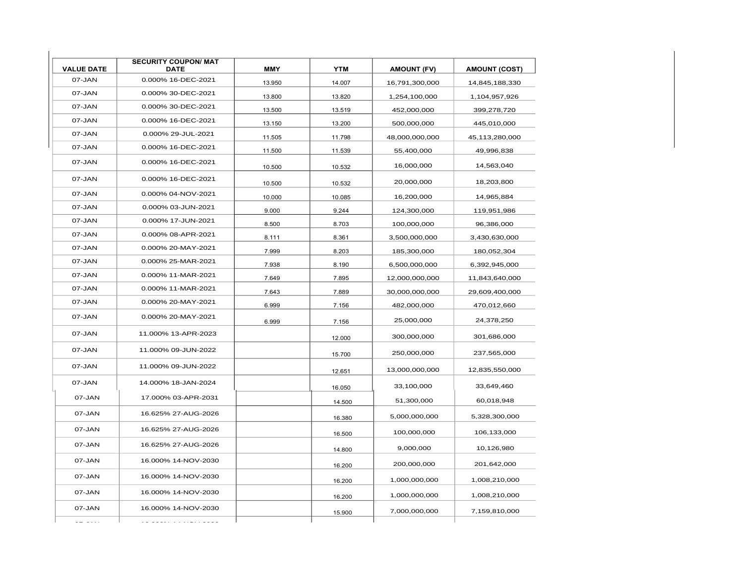| <b>VALUE DATE</b> | <b>SECURITY COUPON/ MAT</b><br><b>DATE</b> | <b>MMY</b> | <b>YTM</b> | <b>AMOUNT (FV)</b> | <b>AMOUNT (COST)</b> |
|-------------------|--------------------------------------------|------------|------------|--------------------|----------------------|
| 07-JAN            | 0.000% 16-DEC-2021                         | 13.950     | 14.007     | 16,791,300,000     | 14,845,188,330       |
| 07-JAN            | 0.000% 30-DEC-2021                         | 13.800     | 13.820     | 1,254,100,000      | 1,104,957,926        |
| 07-JAN            | 0.000% 30-DEC-2021                         | 13.500     | 13.519     | 452,000,000        | 399,278,720          |
| 07-JAN            | 0.000% 16-DEC-2021                         | 13.150     | 13.200     | 500,000,000        | 445,010,000          |
| 07-JAN            | 0.000% 29-JUL-2021                         | 11.505     | 11.798     | 48,000,000,000     | 45,113,280,000       |
| 07-JAN            | 0.000% 16-DEC-2021                         | 11.500     | 11.539     | 55,400,000         | 49,996,838           |
| 07-JAN            | 0.000% 16-DEC-2021                         | 10.500     | 10.532     | 16,000,000         | 14,563,040           |
| 07-JAN            | 0.000% 16-DEC-2021                         | 10.500     | 10.532     | 20,000,000         | 18,203,800           |
| 07-JAN            | 0.000% 04-NOV-2021                         | 10.000     | 10.085     | 16,200,000         | 14,965,884           |
| 07-JAN            | 0.000% 03-JUN-2021                         | 9.000      | 9.244      | 124,300,000        | 119,951,986          |
| 07-JAN            | 0.000% 17-JUN-2021                         | 8.500      | 8.703      | 100,000,000        | 96,386,000           |
| 07-JAN            | 0.000% 08-APR-2021                         | 8.111      | 8.361      | 3,500,000,000      | 3,430,630,000        |
| 07-JAN            | 0.000% 20-MAY-2021                         | 7.999      | 8.203      | 185,300,000        | 180,052,304          |
| 07-JAN            | 0.000% 25-MAR-2021                         | 7.938      | 8.190      | 6,500,000,000      | 6,392,945,000        |
| 07-JAN            | 0.000% 11-MAR-2021                         | 7.649      | 7.895      | 12,000,000,000     | 11,843,640,000       |
| 07-JAN            | 0.000% 11-MAR-2021                         | 7.643      | 7.889      | 30,000,000,000     | 29,609,400,000       |
| 07-JAN            | 0.000% 20-MAY-2021                         | 6.999      | 7.156      | 482,000,000        | 470,012,660          |
| 07-JAN            | 0.000% 20-MAY-2021                         | 6.999      | 7.156      | 25,000,000         | 24,378,250           |
| 07-JAN            | 11.000% 13-APR-2023                        |            | 12.000     | 300,000,000        | 301,686,000          |
| 07-JAN            | 11.000% 09-JUN-2022                        |            | 15.700     | 250,000,000        | 237,565,000          |
| 07-JAN            | 11.000% 09-JUN-2022                        |            | 12.651     | 13,000,000,000     | 12,835,550,000       |
| 07-JAN            | 14.000% 18-JAN-2024                        |            | 16.050     | 33,100,000         | 33,649,460           |
| 07-JAN            | 17.000% 03-APR-2031                        |            | 14.500     | 51,300,000         | 60,018,948           |
| 07-JAN            | 16.625% 27-AUG-2026                        |            | 16.380     | 5,000,000,000      | 5,328,300,000        |
| 07-JAN            | 16.625% 27-AUG-2026                        |            | 16.500     | 100,000,000        | 106,133,000          |
| 07-JAN            | 16.625% 27-AUG-2026                        |            | 14.800     | 9,000,000          | 10,126,980           |
| 07-JAN            | 16.000% 14-NOV-2030                        |            | 16.200     | 200,000,000        | 201,642,000          |
| 07-JAN            | 16.000% 14-NOV-2030                        |            | 16.200     | 1,000,000,000      | 1,008,210,000        |
| 07-JAN            | 16.000% 14-NOV-2030                        |            | 16.200     | 1,000,000,000      | 1,008,210,000        |
| 07-JAN            | 16.000% 14-NOV-2030                        |            | 15.900     | 7,000,000,000      | 7,159,810,000        |
| $\frac{1}{2}$     |                                            |            |            |                    |                      |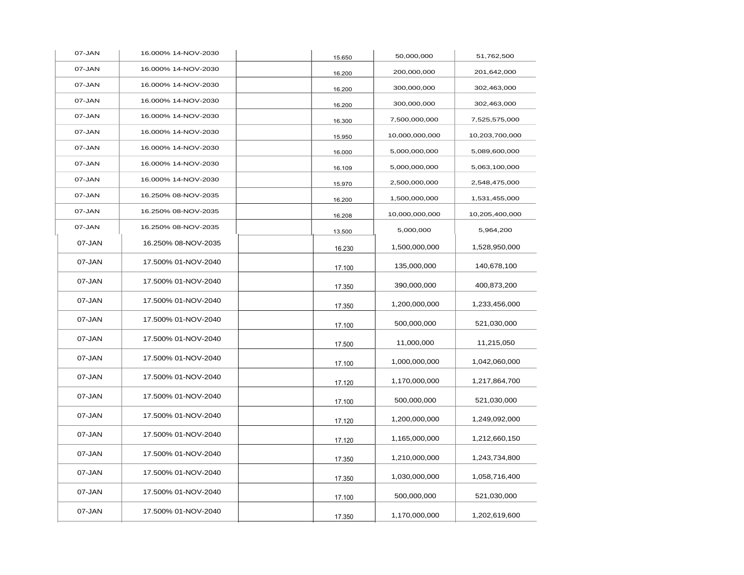| 07-JAN | 16.000% 14-NOV-2030 | 15.650 | 50,000,000     | 51,762,500     |
|--------|---------------------|--------|----------------|----------------|
| 07-JAN | 16.000% 14-NOV-2030 | 16.200 | 200,000,000    | 201,642,000    |
| 07-JAN | 16.000% 14-NOV-2030 | 16.200 | 300,000,000    | 302,463,000    |
| 07-JAN | 16.000% 14-NOV-2030 | 16.200 | 300,000,000    | 302,463,000    |
| 07-JAN | 16.000% 14-NOV-2030 | 16.300 | 7,500,000,000  | 7,525,575,000  |
| 07-JAN | 16.000% 14-NOV-2030 | 15.950 | 10,000,000,000 | 10,203,700,000 |
| 07-JAN | 16.000% 14-NOV-2030 | 16.000 | 5,000,000,000  | 5,089,600,000  |
| 07-JAN | 16.000% 14-NOV-2030 | 16.109 | 5,000,000,000  | 5,063,100,000  |
| 07-JAN | 16.000% 14-NOV-2030 | 15.970 | 2,500,000,000  | 2,548,475,000  |
| 07-JAN | 16.250% 08-NOV-2035 | 16.200 | 1,500,000,000  | 1,531,455,000  |
| 07-JAN | 16.250% 08-NOV-2035 | 16.208 | 10,000,000,000 | 10,205,400,000 |
| 07-JAN | 16.250% 08-NOV-2035 | 13.500 | 5,000,000      | 5,964,200      |
| 07-JAN | 16.250% 08-NOV-2035 | 16.230 | 1,500,000,000  | 1,528,950,000  |
| 07-JAN | 17.500% 01-NOV-2040 | 17.100 | 135,000,000    | 140,678,100    |
| 07-JAN | 17.500% 01-NOV-2040 | 17.350 | 390,000,000    | 400,873,200    |
| 07-JAN | 17.500% 01-NOV-2040 | 17.350 | 1,200,000,000  | 1,233,456,000  |
| 07-JAN | 17.500% 01-NOV-2040 | 17.100 | 500,000,000    | 521,030,000    |
| 07-JAN | 17.500% 01-NOV-2040 | 17.500 | 11,000,000     | 11,215,050     |
| 07-JAN | 17.500% 01-NOV-2040 | 17.100 | 1,000,000,000  | 1,042,060,000  |
| 07-JAN | 17.500% 01-NOV-2040 | 17.120 | 1,170,000,000  | 1,217,864,700  |
| 07-JAN | 17.500% 01-NOV-2040 | 17.100 | 500,000,000    | 521,030,000    |
| 07-JAN | 17.500% 01-NOV-2040 | 17.120 | 1,200,000,000  | 1,249,092,000  |
| 07-JAN | 17.500% 01-NOV-2040 | 17.120 | 1,165,000,000  | 1,212,660,150  |
| 07-JAN | 17.500% 01-NOV-2040 | 17.350 | 1,210,000,000  | 1,243,734,800  |
| 07-JAN | 17.500% 01-NOV-2040 | 17.350 | 1,030,000,000  | 1,058,716,400  |
| 07-JAN | 17.500% 01-NOV-2040 | 17.100 | 500,000,000    | 521,030,000    |
| 07-JAN | 17.500% 01-NOV-2040 | 17.350 | 1,170,000,000  | 1,202,619,600  |